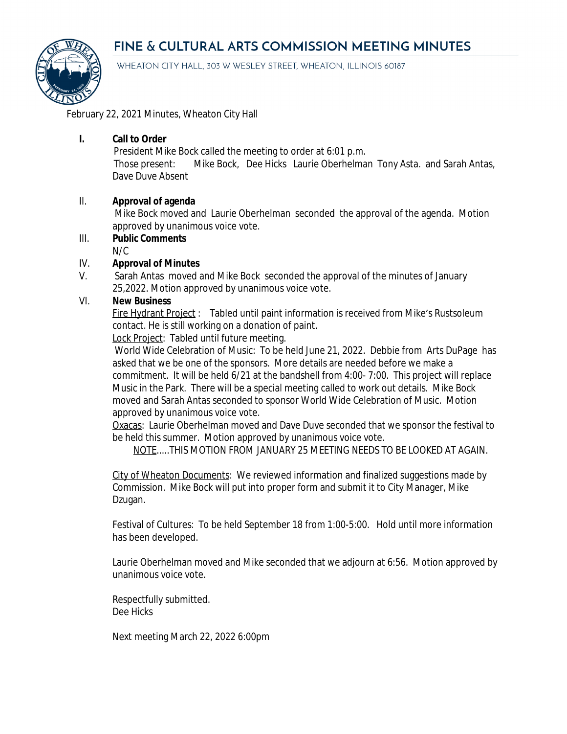# FINE & CULTURAL ARTS COMMISSION MEETING MINUTES



WHEATON CITY HALL, 303 W WESLEY STREET, WHEATON, ILLINOIS 60187

February 22, 2021 Minutes, Wheaton City Hall

## **I. Call to Order**

President Mike Bock called the meeting to order at 6:01 p.m.

Those present: Mike Bock, Dee Hicks Laurie Oberhelman Tony Asta. and Sarah Antas, Dave Duve Absent

#### II. **Approval of agenda**

Mike Bock moved and Laurie Oberhelman seconded the approval of the agenda. Motion approved by unanimous voice vote.

III. **Public Comments**  $N/C$ 

## IV. **Approval of Minutes**

V. Sarah Antas moved and Mike Bock seconded the approval of the minutes of January 25,2022. Motion approved by unanimous voice vote.

# VI. **New Business**

Fire Hydrant Project : Tabled until paint information is received from Mike's Rustsoleum contact. He is still working on a donation of paint.

Lock Project: Tabled until future meeting.

World Wide Celebration of Music: To be held June 21, 2022. Debbie from Arts DuPage has asked that we be one of the sponsors. More details are needed before we make a commitment. It will be held 6/21 at the bandshell from 4:00- 7:00. This project will replace Music in the Park. There will be a special meeting called to work out details. Mike Bock moved and Sarah Antas seconded to sponsor World Wide Celebration of Music. Motion approved by unanimous voice vote.

Oxacas: Laurie Oberhelman moved and Dave Duve seconded that we sponsor the festival to be held this summer. Motion approved by unanimous voice vote.

NOTE.....THIS MOTION FROM JANUARY 25 MEETING NEEDS TO BE LOOKED AT AGAIN.

City of Wheaton Documents: We reviewed information and finalized suggestions made by Commission. Mike Bock will put into proper form and submit it to City Manager, Mike Dzugan.

Festival of Cultures: To be held September 18 from 1:00-5:00. Hold until more information has been developed.

Laurie Oberhelman moved and Mike seconded that we adjourn at 6:56. Motion approved by unanimous voice vote.

Respectfully submitted. Dee Hicks

Next meeting March 22, 2022 6:00pm